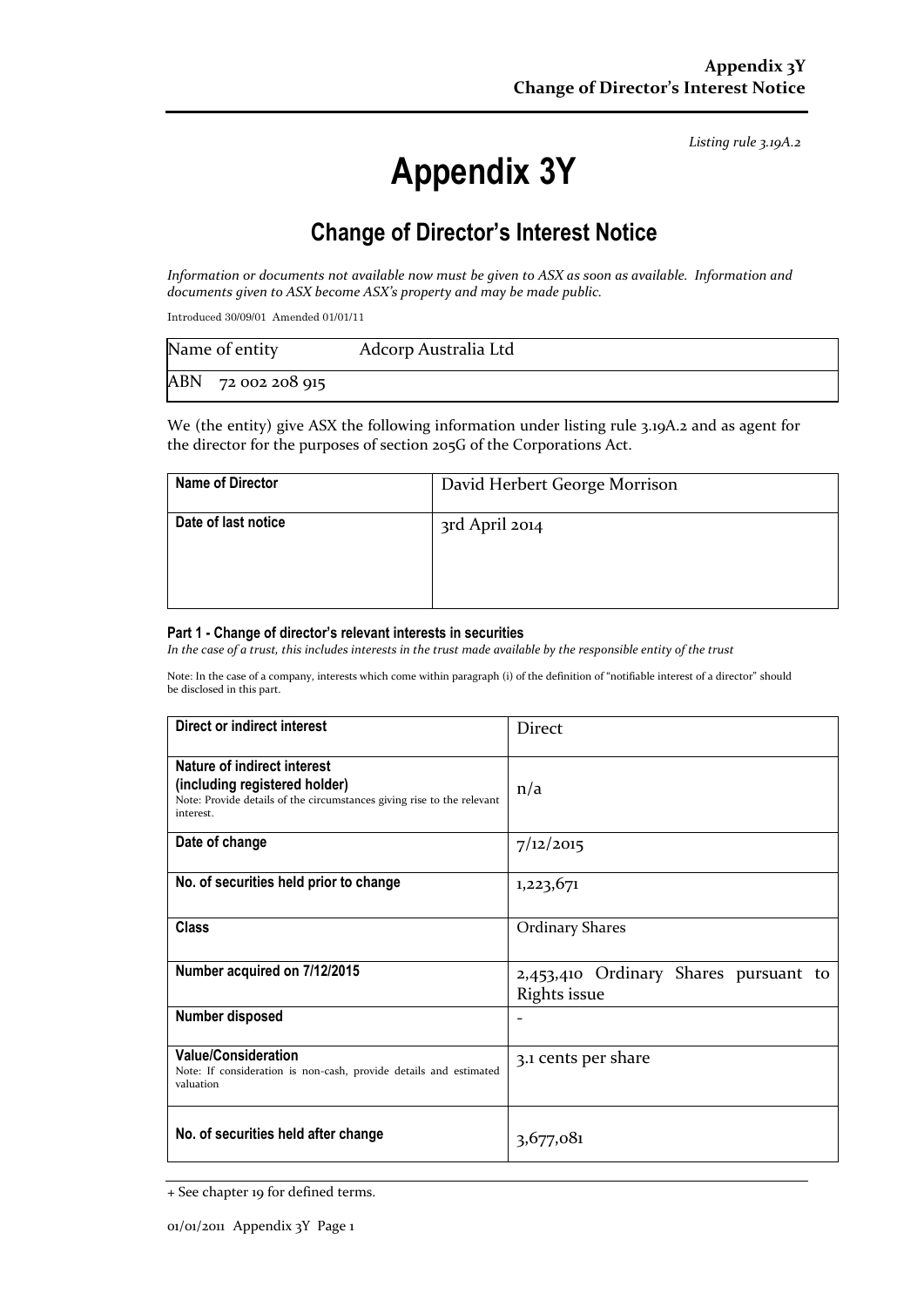*Listing rule 3.19A.2*

# **Appendix 3Y**

# **Change of Director's Interest Notice**

*Information or documents not available now must be given to ASX as soon as available. Information and documents given to ASX become ASX's property and may be made public.*

Introduced 30/09/01 Amended 01/01/11

| Name of entity     | Adcorp Australia Ltd |
|--------------------|----------------------|
| ABN 72 002 208 915 |                      |

We (the entity) give ASX the following information under listing rule 3.19A.2 and as agent for the director for the purposes of section 205G of the Corporations Act.

| <b>Name of Director</b> | David Herbert George Morrison |
|-------------------------|-------------------------------|
| Date of last notice     | 3rd April 2014                |

#### **Part 1 - Change of director's relevant interests in securities**

*In the case of a trust, this includes interests in the trust made available by the responsible entity of the trust*

Note: In the case of a company, interests which come within paragraph (i) of the definition of "notifiable interest of a director" should be disclosed in this part.

| <b>Direct or indirect interest</b>                                                                                                                  | <b>Direct</b>                                         |  |  |  |
|-----------------------------------------------------------------------------------------------------------------------------------------------------|-------------------------------------------------------|--|--|--|
| Nature of indirect interest<br>(including registered holder)<br>Note: Provide details of the circumstances giving rise to the relevant<br>interest. | n/a                                                   |  |  |  |
| Date of change                                                                                                                                      | 7/12/2015                                             |  |  |  |
| No. of securities held prior to change                                                                                                              | 1,223,671                                             |  |  |  |
| <b>Class</b>                                                                                                                                        | <b>Ordinary Shares</b>                                |  |  |  |
| Number acquired on 7/12/2015                                                                                                                        | 2,453,410 Ordinary Shares pursuant to<br>Rights issue |  |  |  |
| <b>Number disposed</b>                                                                                                                              |                                                       |  |  |  |
| <b>Value/Consideration</b><br>Note: If consideration is non-cash, provide details and estimated<br>valuation                                        | 3.1 cents per share                                   |  |  |  |
| No. of securities held after change                                                                                                                 | 3,677,081                                             |  |  |  |

<sup>+</sup> See chapter 19 for defined terms.